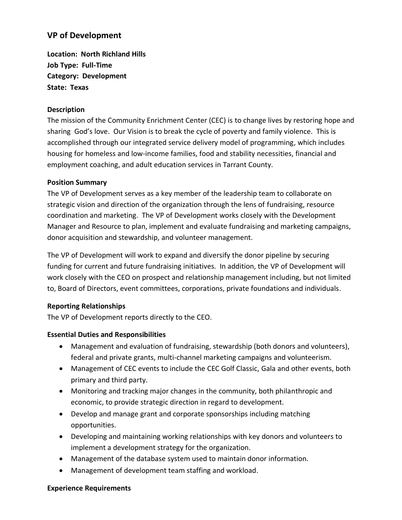## **VP of Development**

**Location: North Richland Hills Job Type: Full-Time Category: Development State: Texas**

#### **Description**

The mission of the Community Enrichment Center (CEC) is to change lives by restoring hope and sharing God's love. Our Vision is to break the cycle of poverty and family violence. This is accomplished through our integrated service delivery model of programming, which includes housing for homeless and low-income families, food and stability necessities, financial and employment coaching, and adult education services in Tarrant County.

### **Position Summary**

The VP of Development serves as a key member of the leadership team to collaborate on strategic vision and direction of the organization through the lens of fundraising, resource coordination and marketing. The VP of Development works closely with the Development Manager and Resource to plan, implement and evaluate fundraising and marketing campaigns, donor acquisition and stewardship, and volunteer management.

The VP of Development will work to expand and diversify the donor pipeline by securing funding for current and future fundraising initiatives. In addition, the VP of Development will work closely with the CEO on prospect and relationship management including, but not limited to, Board of Directors, event committees, corporations, private foundations and individuals.

#### **Reporting Relationships**

The VP of Development reports directly to the CEO.

#### **Essential Duties and Responsibilities**

- Management and evaluation of fundraising, stewardship (both donors and volunteers), federal and private grants, multi-channel marketing campaigns and volunteerism.
- Management of CEC events to include the CEC Golf Classic, Gala and other events, both primary and third party.
- Monitoring and tracking major changes in the community, both philanthropic and economic, to provide strategic direction in regard to development.
- Develop and manage grant and corporate sponsorships including matching opportunities.
- Developing and maintaining working relationships with key donors and volunteers to implement a development strategy for the organization.
- Management of the database system used to maintain donor information.
- Management of development team staffing and workload.

#### **Experience Requirements**